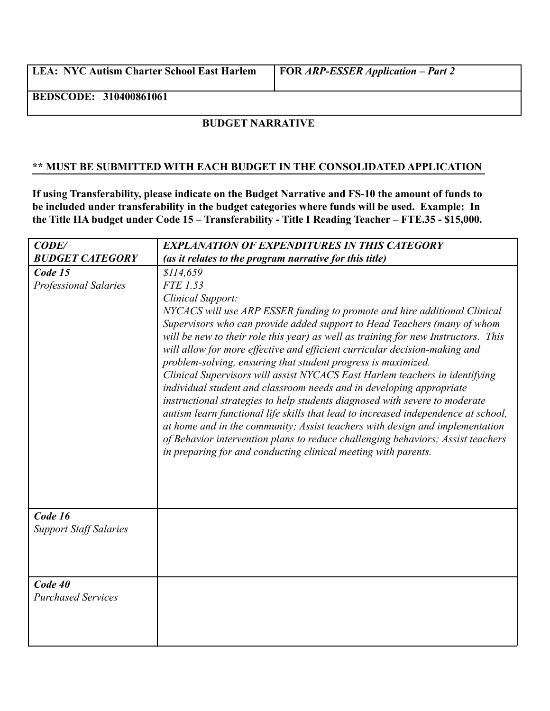**LEA: NYC Autism Charter School East Harlem FOR** *ARP-ESSER Application – Part 2*

**BEDSCODE: 310400861061**

## **BUDGET NARRATIVE**

## **\*\* MUST BE SUBMITTED WITH EACH BUDGET IN THE CONSOLIDATED APPLICATION**

**If using Transferability, please indicate on the Budget Narrative and FS-10 the amount of funds to be included under transferability in the budget categories where funds will be used. Example: In the Title IIA budget under Code 15 – Transferability - Title I Reading Teacher – FTE.35 - \$15,000.**

| CODE/                                    | <b>EXPLANATION OF EXPENDITURES IN THIS CATEGORY</b>                                                                                                                                                                                                                                                                                                                                                                                                                                                                                                                                                                                                                                                                                                                                                                                                                                                                                                                                                       |
|------------------------------------------|-----------------------------------------------------------------------------------------------------------------------------------------------------------------------------------------------------------------------------------------------------------------------------------------------------------------------------------------------------------------------------------------------------------------------------------------------------------------------------------------------------------------------------------------------------------------------------------------------------------------------------------------------------------------------------------------------------------------------------------------------------------------------------------------------------------------------------------------------------------------------------------------------------------------------------------------------------------------------------------------------------------|
| <b>BUDGET CATEGORY</b>                   | (as it relates to the program narrative for this title)                                                                                                                                                                                                                                                                                                                                                                                                                                                                                                                                                                                                                                                                                                                                                                                                                                                                                                                                                   |
| Code 15<br><b>Professional Salaries</b>  | \$114,659<br>FTE 1.53<br>Clinical Support:<br>NYCACS will use ARP ESSER funding to promote and hire additional Clinical<br>Supervisors who can provide added support to Head Teachers (many of whom<br>will be new to their role this year) as well as training for new Instructors. This<br>will allow for more effective and efficient curricular decision-making and<br>problem-solving, ensuring that student progress is maximized.<br>Clinical Supervisors will assist NYCACS East Harlem teachers in identifying<br>individual student and classroom needs and in developing appropriate<br>instructional strategies to help students diagnosed with severe to moderate<br>autism learn functional life skills that lead to increased independence at school,<br>at home and in the community; Assist teachers with design and implementation<br>of Behavior intervention plans to reduce challenging behaviors; Assist teachers<br>in preparing for and conducting clinical meeting with parents. |
| Code 16<br><b>Support Staff Salaries</b> |                                                                                                                                                                                                                                                                                                                                                                                                                                                                                                                                                                                                                                                                                                                                                                                                                                                                                                                                                                                                           |
| Code 40<br><b>Purchased Services</b>     |                                                                                                                                                                                                                                                                                                                                                                                                                                                                                                                                                                                                                                                                                                                                                                                                                                                                                                                                                                                                           |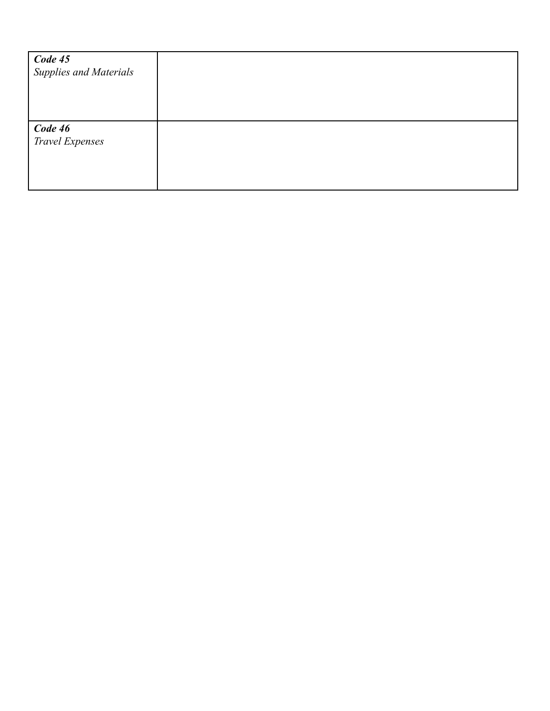| <b>Code 45</b><br>Supplies and Materials |  |
|------------------------------------------|--|
| <b>Code 46</b><br>Travel Expenses        |  |